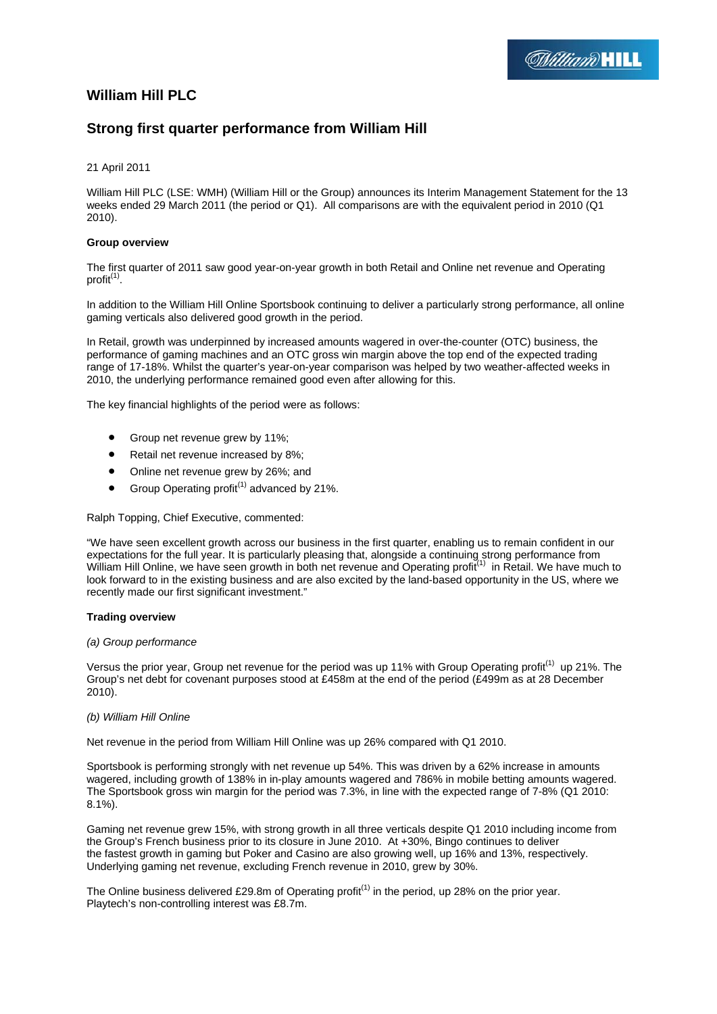# **William Hill PLC**

## **Strong first quarter performance from William Hill**

## 21 April 2011

William Hill PLC (LSE: WMH) (William Hill or the Group) announces its Interim Management Statement for the 13 weeks ended 29 March 2011 (the period or Q1). All comparisons are with the equivalent period in 2010 (Q1 2010).

## **Group overview**

The first quarter of 2011 saw good year-on-year growth in both Retail and Online net revenue and Operating profit<sup>(1)</sup>.

In addition to the William Hill Online Sportsbook continuing to deliver a particularly strong performance, all online gaming verticals also delivered good growth in the period.

In Retail, growth was underpinned by increased amounts wagered in over-the-counter (OTC) business, the performance of gaming machines and an OTC gross win margin above the top end of the expected trading range of 17-18%. Whilst the quarter's year-on-year comparison was helped by two weather-affected weeks in 2010, the underlying performance remained good even after allowing for this.

The key financial highlights of the period were as follows:

- Group net revenue grew by 11%;
- Retail net revenue increased by 8%;
- Online net revenue grew by 26%; and
- Group Operating profit<sup>(1)</sup> advanced by 21%.

Ralph Topping, Chief Executive, commented:

"We have seen excellent growth across our business in the first quarter, enabling us to remain confident in our expectations for the full year. It is particularly pleasing that, alongside a continuing strong performance from William Hill Online, we have seen growth in both net revenue and Operating profit<sup>(1)</sup> in Retail. We have much to look forward to in the existing business and are also excited by the land-based opportunity in the US, where we recently made our first significant investment."

## **Trading overview**

## *(a) Group performance*

Versus the prior year, Group net revenue for the period was up 11% with Group Operating profit<sup>(1)</sup> up 21%. The Group's net debt for covenant purposes stood at £458m at the end of the period (£499m as at 28 December 2010).

## *(b) William Hill Online*

Net revenue in the period from William Hill Online was up 26% compared with Q1 2010.

Sportsbook is performing strongly with net revenue up 54%. This was driven by a 62% increase in amounts wagered, including growth of 138% in in-play amounts wagered and 786% in mobile betting amounts wagered. The Sportsbook gross win margin for the period was 7.3%, in line with the expected range of 7-8% (Q1 2010: 8.1%).

Gaming net revenue grew 15%, with strong growth in all three verticals despite Q1 2010 including income from the Group's French business prior to its closure in June 2010. At +30%, Bingo continues to deliver the fastest growth in gaming but Poker and Casino are also growing well, up 16% and 13%, respectively. Underlying gaming net revenue, excluding French revenue in 2010, grew by 30%.

The Online business delivered £29.8m of Operating profit<sup>(1)</sup> in the period, up 28% on the prior year. Playtech's non-controlling interest was £8.7m.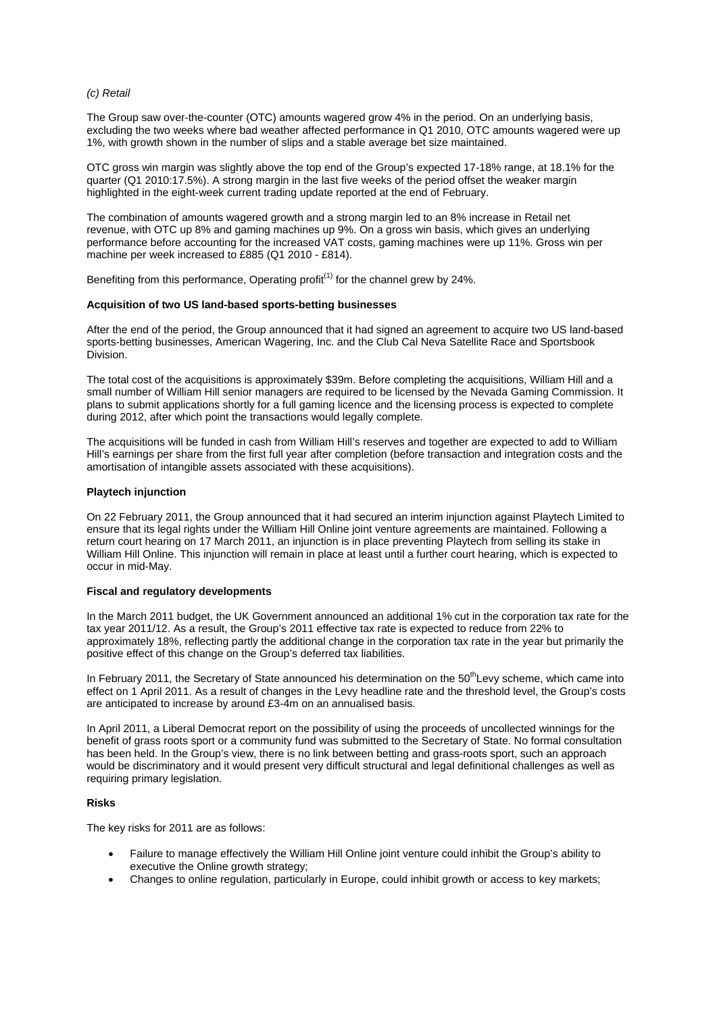#### *(c) Retail*

The Group saw over-the-counter (OTC) amounts wagered grow 4% in the period. On an underlying basis, excluding the two weeks where bad weather affected performance in Q1 2010, OTC amounts wagered were up 1%, with growth shown in the number of slips and a stable average bet size maintained.

OTC gross win margin was slightly above the top end of the Group's expected 17-18% range, at 18.1% for the quarter (Q1 2010:17.5%). A strong margin in the last five weeks of the period offset the weaker margin highlighted in the eight-week current trading update reported at the end of February.

The combination of amounts wagered growth and a strong margin led to an 8% increase in Retail net revenue, with OTC up 8% and gaming machines up 9%. On a gross win basis, which gives an underlying performance before accounting for the increased VAT costs, gaming machines were up 11%. Gross win per machine per week increased to £885 (Q1 2010 - £814).

Benefiting from this performance, Operating profit<sup> $(1)$ </sup> for the channel grew by 24%.

#### **Acquisition of two US land-based sports-betting businesses**

After the end of the period, the Group announced that it had signed an agreement to acquire two US land-based sports-betting businesses, American Wagering, Inc. and the Club Cal Neva Satellite Race and Sportsbook Division.

The total cost of the acquisitions is approximately \$39m. Before completing the acquisitions, William Hill and a small number of William Hill senior managers are required to be licensed by the Nevada Gaming Commission. It plans to submit applications shortly for a full gaming licence and the licensing process is expected to complete during 2012, after which point the transactions would legally complete.

The acquisitions will be funded in cash from William Hill's reserves and together are expected to add to William Hill's earnings per share from the first full year after completion (before transaction and integration costs and the amortisation of intangible assets associated with these acquisitions).

#### **Playtech injunction**

On 22 February 2011, the Group announced that it had secured an interim injunction against Playtech Limited to ensure that its legal rights under the William Hill Online joint venture agreements are maintained. Following a return court hearing on 17 March 2011, an injunction is in place preventing Playtech from selling its stake in William Hill Online. This injunction will remain in place at least until a further court hearing, which is expected to occur in mid-May.

#### **Fiscal and regulatory developments**

In the March 2011 budget, the UK Government announced an additional 1% cut in the corporation tax rate for the tax year 2011/12. As a result, the Group's 2011 effective tax rate is expected to reduce from 22% to approximately 18%, reflecting partly the additional change in the corporation tax rate in the year but primarily the positive effect of this change on the Group's deferred tax liabilities.

In February 2011, the Secretary of State announced his determination on the  $50<sup>th</sup>$ Levy scheme, which came into effect on 1 April 2011. As a result of changes in the Levy headline rate and the threshold level, the Group's costs are anticipated to increase by around £3-4m on an annualised basis.

In April 2011, a Liberal Democrat report on the possibility of using the proceeds of uncollected winnings for the benefit of grass roots sport or a community fund was submitted to the Secretary of State. No formal consultation has been held. In the Group's view, there is no link between betting and grass-roots sport, such an approach would be discriminatory and it would present very difficult structural and legal definitional challenges as well as requiring primary legislation.

#### **Risks**

The key risks for 2011 are as follows:

- Failure to manage effectively the William Hill Online joint venture could inhibit the Group's ability to executive the Online growth strategy;
- Changes to online regulation, particularly in Europe, could inhibit growth or access to key markets;